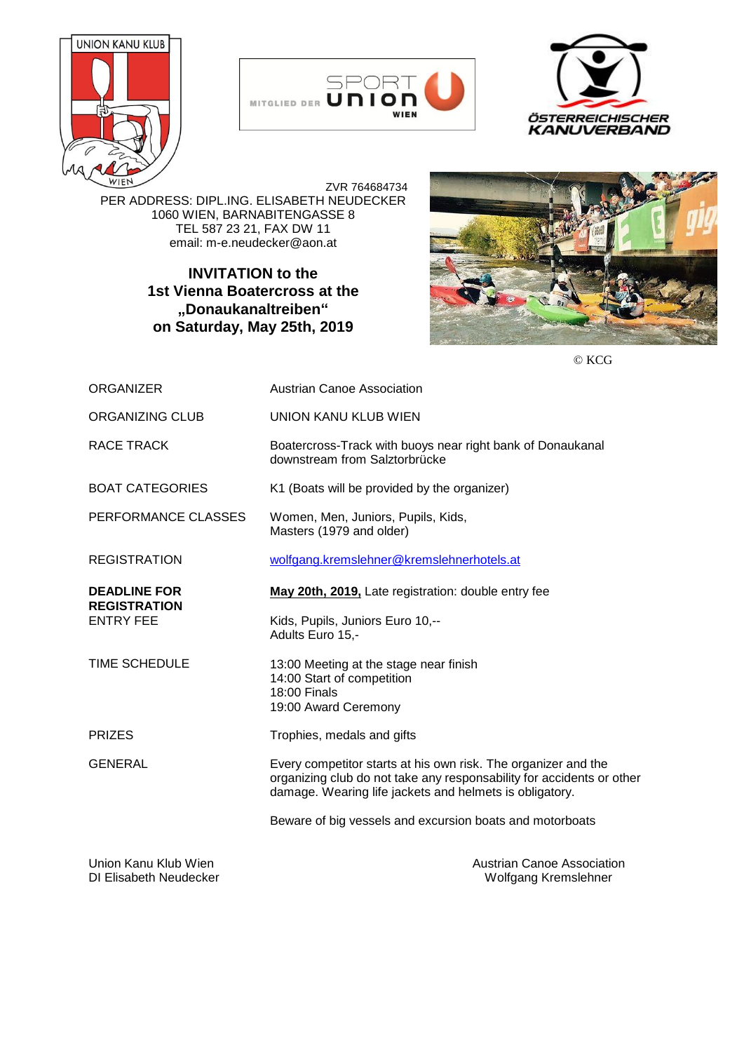





 ZVR 764684734 PER ADDRESS: DIPL.ING. ELISABETH NEUDECKER 1060 WIEN, BARNABITENGASSE 8 TEL 587 23 21, FAX DW 11 email: m-e.neudecker@aon.at

## **INVITATION to the 1st Vienna Boatercross at the "Donaukanaltreiben" on Saturday, May 25th, 2019**



© KCG

| <b>ORGANIZER</b>                           | Austrian Canoe Association                                                                                                                                                                         |
|--------------------------------------------|----------------------------------------------------------------------------------------------------------------------------------------------------------------------------------------------------|
| ORGANIZING CLUB                            | <b>UNION KANU KLUB WIEN</b>                                                                                                                                                                        |
| RACE TRACK                                 | Boatercross-Track with buoys near right bank of Donaukanal<br>downstream from Salztorbrücke                                                                                                        |
| <b>BOAT CATEGORIES</b>                     | K1 (Boats will be provided by the organizer)                                                                                                                                                       |
| PERFORMANCE CLASSES                        | Women, Men, Juniors, Pupils, Kids,<br>Masters (1979 and older)                                                                                                                                     |
| <b>REGISTRATION</b>                        | wolfgang.kremslehner@kremslehnerhotels.at                                                                                                                                                          |
| <b>DEADLINE FOR</b><br><b>REGISTRATION</b> | May 20th, 2019, Late registration: double entry fee                                                                                                                                                |
| <b>ENTRY FEE</b>                           | Kids, Pupils, Juniors Euro 10,--<br>Adults Euro 15,-                                                                                                                                               |
| <b>TIME SCHEDULE</b>                       | 13:00 Meeting at the stage near finish<br>14:00 Start of competition<br>18:00 Finals<br>19:00 Award Ceremony                                                                                       |
| <b>PRIZES</b>                              | Trophies, medals and gifts                                                                                                                                                                         |
| <b>GENERAL</b>                             | Every competitor starts at his own risk. The organizer and the<br>organizing club do not take any responsability for accidents or other<br>damage. Wearing life jackets and helmets is obligatory. |
|                                            | Beware of big vessels and excursion boats and motorboats                                                                                                                                           |
| Union Kanu Klub Wien                       | Austrian Canoe Association                                                                                                                                                                         |

DI Elisabeth Neudecker Wolfgang Kremslehner